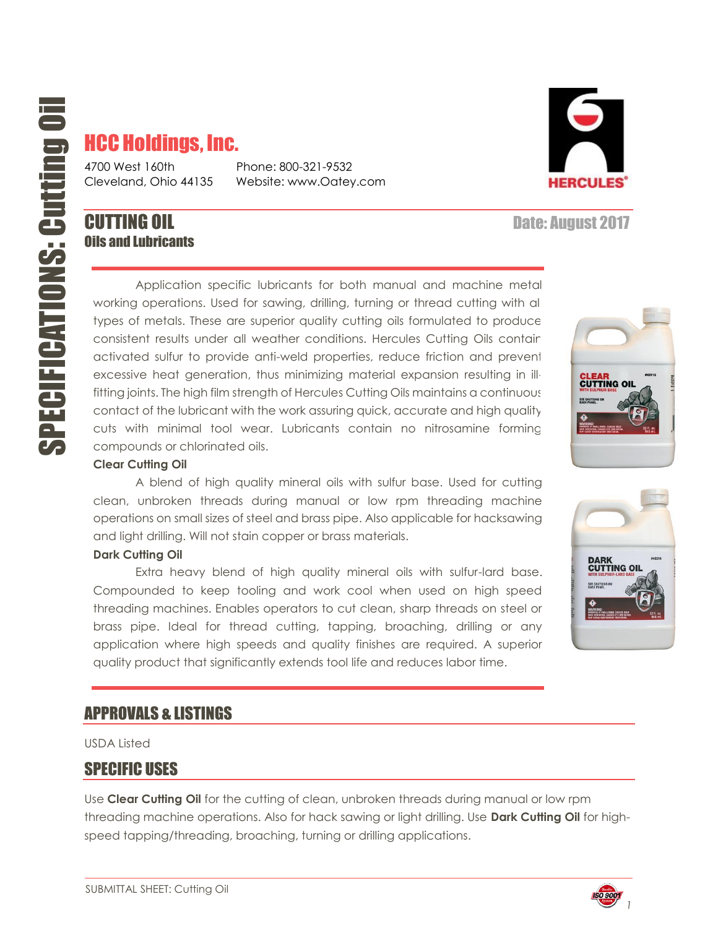# HCC Holdings, Inc.

4700 West 160th Phone: 800-321-9532

Cleveland, Ohio 44135 Website: www.Oatey.com

## **CUTTING OIL CUTTING OIL** Oils and Lubricants

Application specific lubricants for both manual and machine metal working operations. Used for sawing, drilling, turning or thread cutting with all types of metals. These are superior quality cutting oils formulated to produce consistent results under all weather conditions. Hercules Cutting Oils contain activated sulfur to provide anti-weld properties, reduce friction and prevent excessive heat generation, thus minimizing material expansion resulting in illfitting joints. The high film strength of Hercules Cutting Oils maintains a continuous contact of the lubricant with the work assuring quick, accurate and high quality cuts with minimal tool wear. Lubricants contain no nitrosamine forming compounds or chlorinated oils.

#### **Clear Cutting Oil**

A blend of high quality mineral oils with sulfur base. Used for cutting clean, unbroken threads during manual or low rpm threading machine operations on small sizes of steel and brass pipe. Also applicable for hacksawing and light drilling. Will not stain copper or brass materials.

#### **Dark Cutting Oil**

Extra heavy blend of high quality mineral oils with sulfur-lard base. Compounded to keep tooling and work cool when used on high speed threading machines. Enables operators to cut clean, sharp threads on steel or brass pipe. Ideal for thread cutting, tapping, broaching, drilling or any application where high speeds and quality finishes are required. A superior quality product that significantly extends tool life and reduces labor time.

#### APPROVALS & LISTINGS

USDA Listed

#### SPECIFIC USES

Use **Clear Cutting Oil** for the cutting of clean, unbroken threads during manual or low rpm threading machine operations. Also for hack sawing or light drilling. Use **Dark Cutting Oil** for highspeed tapping/threading, broaching, turning or drilling applications.







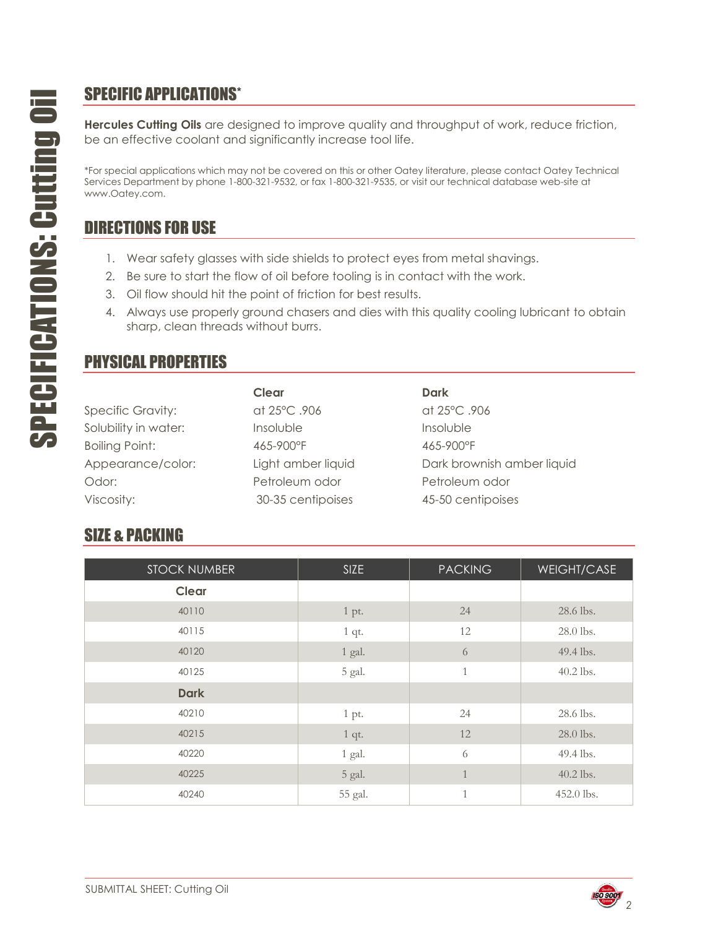### SPECIFIC APPLICATIONS\*

**Hercules Cutting Oils** are designed to improve quality and throughput of work, reduce friction, be an effective coolant and significantly increase tool life.

\*For special applications which may not be covered on this or other Oatey literature, please contact Oatey Technical Services Department by phone 1-800-321-9532, or fax 1-800-321-9535, or visit our technical database web-site at www.Oatey.com.

### DIRECTIONS FOR USE

- 1. Wear safety glasses with side shields to protect eyes from metal shavings.
- 2. Be sure to start the flow of oil before tooling is in contact with the work.
- 3. Oil flow should hit the point of friction for best results.
- 4. Always use properly ground chasers and dies with this quality cooling lubricant to obtain sharp, clean threads without burrs.

#### PHYSICAL PROPERTIES

| <b>Specific Gravity:</b> |  |
|--------------------------|--|
| Solubility in water:     |  |
| <b>Boiling Point:</b>    |  |
| Appearance/color:        |  |
| Odor:                    |  |
| Viscosity <sup>.</sup>   |  |

**Clear Dark** Specific Gravity: at 25°C .906 at 25°C .906 Insoluble insoluble in a linsoluble Boiling Point: 465-900°F 465-900°F Petroleum odor **Petroleum odor** 30-35 centipoises 45-50 centipoises

Light amber liquid **Dark brownish amber liquid** Dark brownish amber liquid

# SIZE & PACKING

| <b>STOCK NUMBER</b> | <b>SIZE</b> | <b>PACKING</b> | <b>WEIGHT/CASE</b> |
|---------------------|-------------|----------------|--------------------|
| <b>Clear</b>        |             |                |                    |
| 40110               | 1 pt.       | 24             | 28.6 lbs.          |
| 40115               | $1$ qt.     | 12             | 28.0 lbs.          |
| 40120               | 1 gal.      | 6              | 49.4 lbs.          |
| 40125               | 5 gal.      | $\mathbf{1}$   | 40.2 lbs.          |
| <b>Dark</b>         |             |                |                    |
| 40210               | 1 pt.       | 24             | 28.6 lbs.          |
| 40215               | $1$ qt.     | 12             | 28.0 lbs.          |
| 40220               | $1$ gal.    | 6              | 49.4 lbs.          |
| 40225               | 5 gal.      | $\mathbf{1}$   | 40.2 lbs.          |
| 40240               | 55 gal.     | $\mathbf{1}$   | 452.0 lbs.         |